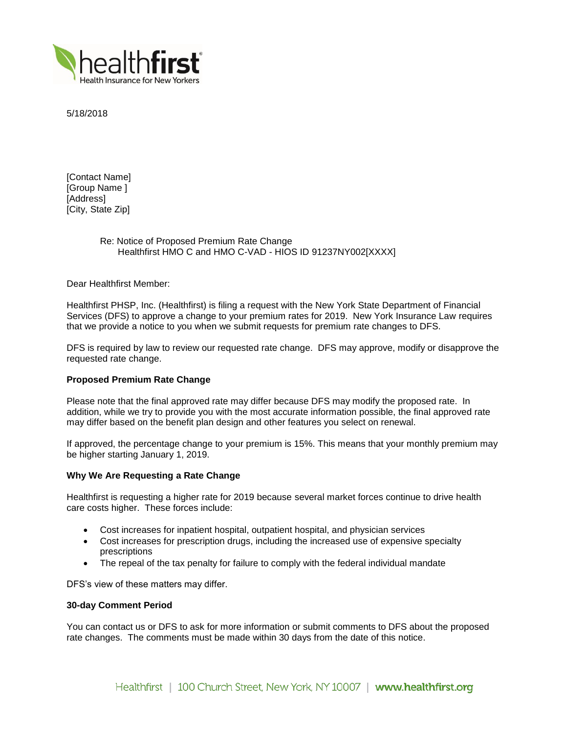

5/18/2018

[Contact Name] [Group Name ] [Address] [City, State Zip]

# Re: Notice of Proposed Premium Rate Change Healthfirst HMO C and HMO C-VAD - HIOS ID 91237NY002[XXXX]

Dear Healthfirst Member:

Healthfirst PHSP, Inc. (Healthfirst) is filing a request with the New York State Department of Financial Services (DFS) to approve a change to your premium rates for 2019. New York Insurance Law requires that we provide a notice to you when we submit requests for premium rate changes to DFS.

DFS is required by law to review our requested rate change. DFS may approve, modify or disapprove the requested rate change.

## **Proposed Premium Rate Change**

Please note that the final approved rate may differ because DFS may modify the proposed rate. In addition, while we try to provide you with the most accurate information possible, the final approved rate may differ based on the benefit plan design and other features you select on renewal.

If approved, the percentage change to your premium is 15%. This means that your monthly premium may be higher starting January 1, 2019.

### **Why We Are Requesting a Rate Change**

Healthfirst is requesting a higher rate for 2019 because several market forces continue to drive health care costs higher. These forces include:

- Cost increases for inpatient hospital, outpatient hospital, and physician services
- Cost increases for prescription drugs, including the increased use of expensive specialty prescriptions
- The repeal of the tax penalty for failure to comply with the federal individual mandate

DFS's view of these matters may differ.

### **30-day Comment Period**

You can contact us or DFS to ask for more information or submit comments to DFS about the proposed rate changes. The comments must be made within 30 days from the date of this notice.